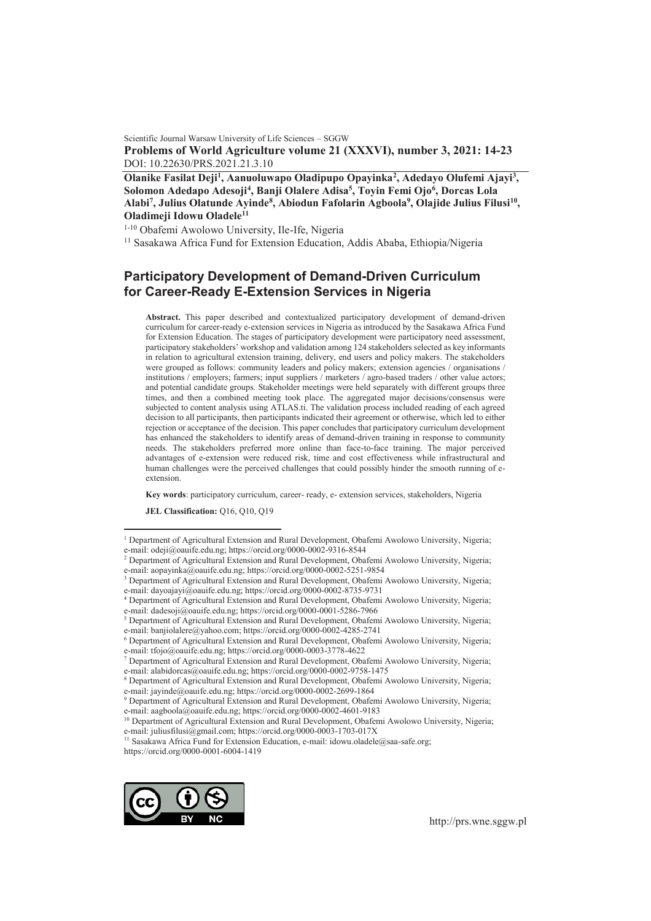Scientific Journal Warsaw University of Life Sciences – SGGW **Problems of World Agriculture volume 21 (XXXVI), number 3, 2021: 14-23**  DOI: 10.22630/PRS.2021.21.3.10

Olanike Fasilat Deji<sup>1</sup>, Aanuoluwapo Oladipupo Opayinka<sup>2</sup>, Adedayo Olufemi Ajayi<sup>3</sup>, **Solomon Adedapo Adesoji<sup>4</sup> , Banji Olalere Adisa<sup>5</sup> , Toyin Femi Ojo<sup>6</sup> , Dorcas Lola Alabi<sup>7</sup> , Julius Olatunde Ayinde<sup>8</sup> , Abiodun Fafolarin Agboola<sup>9</sup> , Olajide Julius Filusi<sup>10</sup> , Oladimeji Idowu Oladele<sup>11</sup>**

1-10 Obafemi Awolowo University, Ile-Ife, Nigeria

<sup>11</sup> Sasakawa Africa Fund for Extension Education, Addis Ababa, Ethiopia/Nigeria

# **Participatory Development of Demand-Driven Curriculum for Career-Ready E-Extension Services in Nigeria**

**Abstract.** This paper described and contextualized participatory development of demand-driven curriculum for career-ready e-extension services in Nigeria as introduced by the Sasakawa Africa Fund for Extension Education. The stages of participatory development were participatory need assessment, participatory stakeholders' workshop and validation among 124 stakeholders selected as key informants in relation to agricultural extension training, delivery, end users and policy makers. The stakeholders were grouped as follows: community leaders and policy makers; extension agencies / organisations / institutions / employers; farmers; input suppliers / marketers / agro-based traders / other value actors; and potential candidate groups. Stakeholder meetings were held separately with different groups three times, and then a combined meeting took place. The aggregated major decisions/consensus were subjected to content analysis using ATLAS.ti. The validation process included reading of each agreed decision to all participants, then participants indicated their agreement or otherwise, which led to either rejection or acceptance of the decision. This paper concludes that participatory curriculum development has enhanced the stakeholders to identify areas of demand-driven training in response to community needs. The stakeholders preferred more online than face-to-face training. The major perceived advantages of e-extension were reduced risk, time and cost effectiveness while infrastructural and human challenges were the perceived challenges that could possibly hinder the smooth running of eextension.

**Key words**: participatory curriculum, career- ready, e- extension services, stakeholders, Nigeria

**JEL Classification:** Q16, Q10, Q19

 $\overline{a}$ 

<sup>11</sup> Sasakawa Africa Fund for Extension Education, e-mail: idowu.oladele@saa-safe.org; https://orcid.org/0000-0001-6004-1419



<sup>&</sup>lt;sup>1</sup> Department of Agricultural Extension and Rural Development, Obafemi Awolowo University, Nigeria; e-mail: odeji@oauife.edu.ng; https://orcid.org/0000-0002-9316-8544<br><sup>2</sup> Department of Agricultural Extension and Rural Development, Obafemi Awolowo University, Nigeria;

e-mail: aopayinka@oauife.edu.ng; https://orcid.org/0000-0002-5251-9854

<sup>&</sup>lt;sup>3</sup> Department of Agricultural Extension and Rural Development, Obafemi Awolowo University, Nigeria; e-mail: dayoajayi@oauife.edu.ng; https://orcid.org/0000-0002-8735-9731

<sup>4</sup> Department of Agricultural Extension and Rural Development, Obafemi Awolowo University, Nigeria; e-mail: dadesoji@oauife.edu.ng; https://orcid.org/0000-0001-5286-7966

<sup>&</sup>lt;sup>5</sup> Department of Agricultural Extension and Rural Development, Obafemi Awolowo University, Nigeria; e-mail: banjiolalere@yahoo.com; https://orcid.org/0000-0002-4285-2741

<sup>6</sup> Department of Agricultural Extension and Rural Development, Obafemi Awolowo University, Nigeria; e-mail: tfojo@oauife.edu.ng; https://orcid.org/0000-0003-3778-4622

<sup>7</sup> Department of Agricultural Extension and Rural Development, Obafemi Awolowo University, Nigeria; e-mail: alabidorcas@oauife.edu.ng; https://orcid.org/0000-0002-9758-1475<br><sup>8</sup> Department of Agricultural Extension and Rural Development, Obafemi Awolowo University, Nigeria;

e-mail: jayinde@oauife.edu.ng; https://orcid.org/0000-0002-2699-1864

<sup>9</sup> Department of Agricultural Extension and Rural Development, Obafemi Awolowo University, Nigeria; e-mail: aagboola@oauife.edu.ng; https://orcid.org/0000-0002-4601-9183

<sup>&</sup>lt;sup>10</sup> Department of Agricultural Extension and Rural Development, Obafemi Awolowo University, Nigeria; e-mail: juliusfilusi@gmail.com; https://orcid.org/0000-0003-1703-017X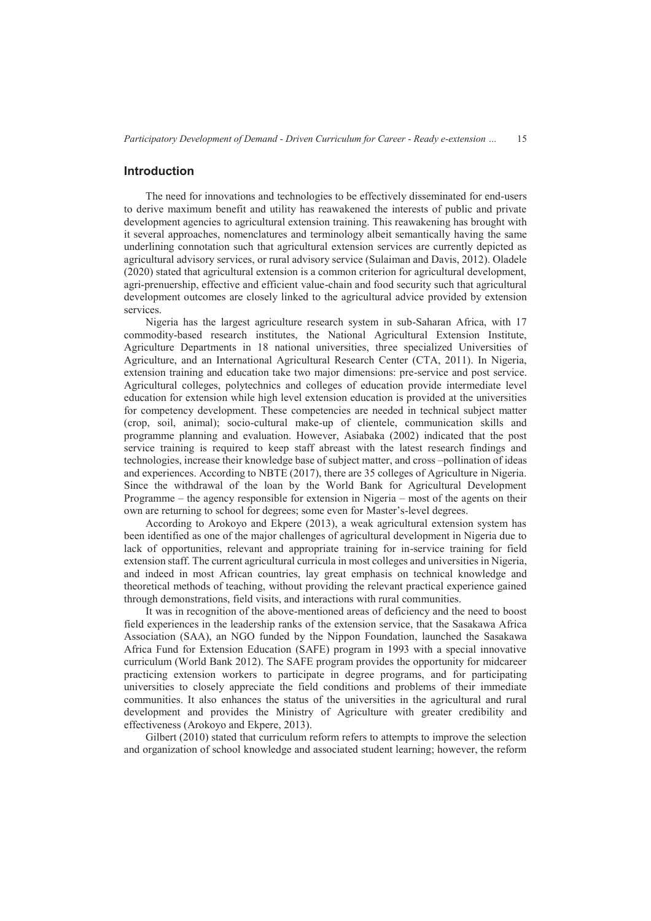#### **Introduction**

The need for innovations and technologies to be effectively disseminated for end-users to derive maximum benefit and utility has reawakened the interests of public and private development agencies to agricultural extension training. This reawakening has brought with it several approaches, nomenclatures and terminology albeit semantically having the same underlining connotation such that agricultural extension services are currently depicted as agricultural advisory services, or rural advisory service (Sulaiman and Davis, 2012). Oladele (2020) stated that agricultural extension is a common criterion for agricultural development, agri-prenuership, effective and efficient value-chain and food security such that agricultural development outcomes are closely linked to the agricultural advice provided by extension services.

Nigeria has the largest agriculture research system in sub-Saharan Africa, with 17 commodity-based research institutes, the National Agricultural Extension Institute, Agriculture Departments in 18 national universities, three specialized Universities of Agriculture, and an International Agricultural Research Center (CTA, 2011). In Nigeria, extension training and education take two major dimensions: pre-service and post service. Agricultural colleges, polytechnics and colleges of education provide intermediate level education for extension while high level extension education is provided at the universities for competency development. These competencies are needed in technical subject matter (crop, soil, animal); socio-cultural make-up of clientele, communication skills and programme planning and evaluation. However, Asiabaka (2002) indicated that the post service training is required to keep staff abreast with the latest research findings and technologies, increase their knowledge base of subject matter, and cross –pollination of ideas and experiences. According to NBTE (2017), there are 35 colleges of Agriculture in Nigeria. Since the withdrawal of the loan by the World Bank for Agricultural Development Programme – the agency responsible for extension in Nigeria – most of the agents on their own are returning to school for degrees; some even for Master's-level degrees.

According to Arokoyo and Ekpere (2013), a weak agricultural extension system has been identified as one of the major challenges of agricultural development in Nigeria due to lack of opportunities, relevant and appropriate training for in-service training for field extension staff. The current agricultural curricula in most colleges and universities in Nigeria, and indeed in most African countries, lay great emphasis on technical knowledge and theoretical methods of teaching, without providing the relevant practical experience gained through demonstrations, field visits, and interactions with rural communities.

It was in recognition of the above-mentioned areas of deficiency and the need to boost field experiences in the leadership ranks of the extension service, that the Sasakawa Africa Association (SAA), an NGO funded by the Nippon Foundation, launched the Sasakawa Africa Fund for Extension Education (SAFE) program in 1993 with a special innovative curriculum (World Bank 2012). The SAFE program provides the opportunity for midcareer practicing extension workers to participate in degree programs, and for participating universities to closely appreciate the field conditions and problems of their immediate communities. It also enhances the status of the universities in the agricultural and rural development and provides the Ministry of Agriculture with greater credibility and effectiveness (Arokoyo and Ekpere, 2013).

Gilbert (2010) stated that curriculum reform refers to attempts to improve the selection and organization of school knowledge and associated student learning; however, the reform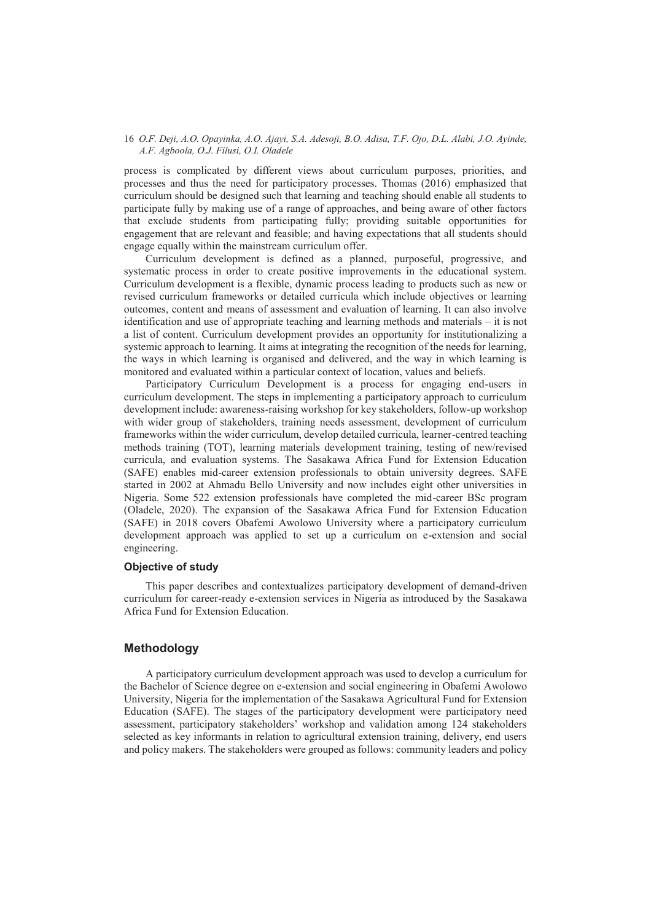process is complicated by different views about curriculum purposes, priorities, and processes and thus the need for participatory processes. Thomas (2016) emphasized that curriculum should be designed such that learning and teaching should enable all students to participate fully by making use of a range of approaches, and being aware of other factors that exclude students from participating fully; providing suitable opportunities for engagement that are relevant and feasible; and having expectations that all students should engage equally within the mainstream curriculum offer.

Curriculum development is defined as a planned, purposeful, progressive, and systematic process in order to create positive improvements in the educational system. Curriculum development is a flexible, dynamic process leading to products such as new or revised curriculum frameworks or detailed curricula which include objectives or learning outcomes, content and means of assessment and evaluation of learning. It can also involve identification and use of appropriate teaching and learning methods and materials – it is not a list of content. Curriculum development provides an opportunity for institutionalizing a systemic approach to learning. It aims at integrating the recognition of the needs for learning, the ways in which learning is organised and delivered, and the way in which learning is monitored and evaluated within a particular context of location, values and beliefs.

Participatory Curriculum Development is a process for engaging end-users in curriculum development. The steps in implementing a participatory approach to curriculum development include: awareness-raising workshop for key stakeholders, follow-up workshop with wider group of stakeholders, training needs assessment, development of curriculum frameworks within the wider curriculum, develop detailed curricula, learner-centred teaching methods training (TOT), learning materials development training, testing of new/revised curricula, and evaluation systems. The Sasakawa Africa Fund for Extension Education (SAFE) enables mid-career extension professionals to obtain university degrees. SAFE started in 2002 at Ahmadu Bello University and now includes eight other universities in Nigeria. Some 522 extension professionals have completed the mid-career BSc program (Oladele, 2020). The expansion of the Sasakawa Africa Fund for Extension Education (SAFE) in 2018 covers Obafemi Awolowo University where a participatory curriculum development approach was applied to set up a curriculum on e-extension and social engineering.

## **Objective of study**

This paper describes and contextualizes participatory development of demand-driven curriculum for career-ready e-extension services in Nigeria as introduced by the Sasakawa Africa Fund for Extension Education.

## **Methodology**

A participatory curriculum development approach was used to develop a curriculum for the Bachelor of Science degree on e-extension and social engineering in Obafemi Awolowo University, Nigeria for the implementation of the Sasakawa Agricultural Fund for Extension Education (SAFE). The stages of the participatory development were participatory need assessment, participatory stakeholders' workshop and validation among 124 stakeholders selected as key informants in relation to agricultural extension training, delivery, end users and policy makers. The stakeholders were grouped as follows: community leaders and policy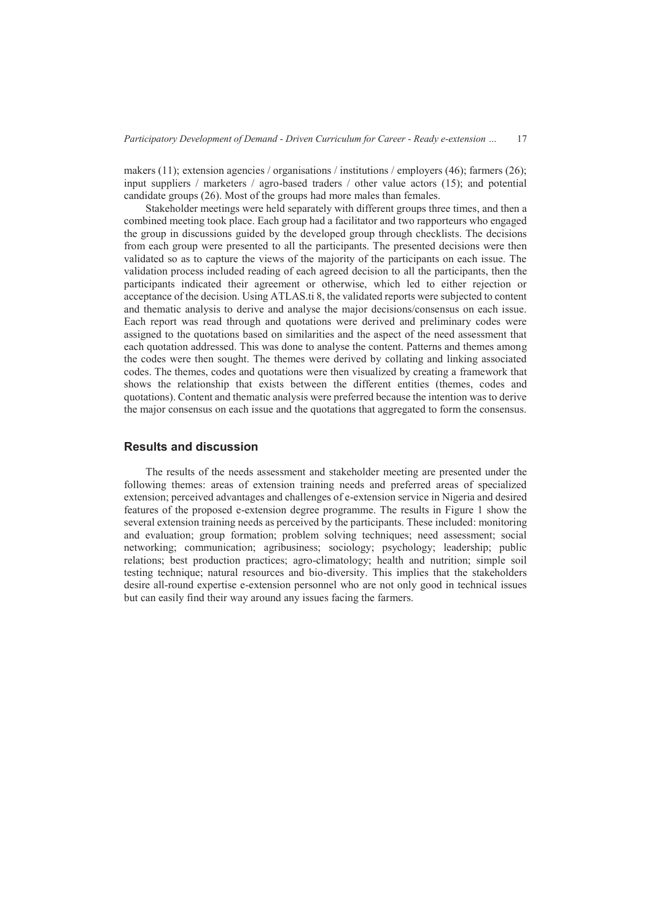makers (11); extension agencies / organisations / institutions / employers (46); farmers (26); input suppliers / marketers / agro-based traders / other value actors  $(15)$ ; and potential candidate groups (26). Most of the groups had more males than females.

Stakeholder meetings were held separately with different groups three times, and then a combined meeting took place. Each group had a facilitator and two rapporteurs who engaged the group in discussions guided by the developed group through checklists. The decisions from each group were presented to all the participants. The presented decisions were then validated so as to capture the views of the majority of the participants on each issue. The validation process included reading of each agreed decision to all the participants, then the participants indicated their agreement or otherwise, which led to either rejection or acceptance of the decision. Using ATLAS.ti 8, the validated reports were subjected to content and thematic analysis to derive and analyse the major decisions/consensus on each issue. Each report was read through and quotations were derived and preliminary codes were assigned to the quotations based on similarities and the aspect of the need assessment that each quotation addressed. This was done to analyse the content. Patterns and themes among the codes were then sought. The themes were derived by collating and linking associated codes. The themes, codes and quotations were then visualized by creating a framework that shows the relationship that exists between the different entities (themes, codes and quotations). Content and thematic analysis were preferred because the intention was to derive the major consensus on each issue and the quotations that aggregated to form the consensus.

## **Results and discussion**

The results of the needs assessment and stakeholder meeting are presented under the following themes: areas of extension training needs and preferred areas of specialized extension; perceived advantages and challenges of e-extension service in Nigeria and desired features of the proposed e-extension degree programme. The results in Figure 1 show the several extension training needs as perceived by the participants. These included: monitoring and evaluation; group formation; problem solving techniques; need assessment; social networking; communication; agribusiness; sociology; psychology; leadership; public relations; best production practices; agro-climatology; health and nutrition; simple soil testing technique; natural resources and bio-diversity. This implies that the stakeholders desire all-round expertise e-extension personnel who are not only good in technical issues but can easily find their way around any issues facing the farmers.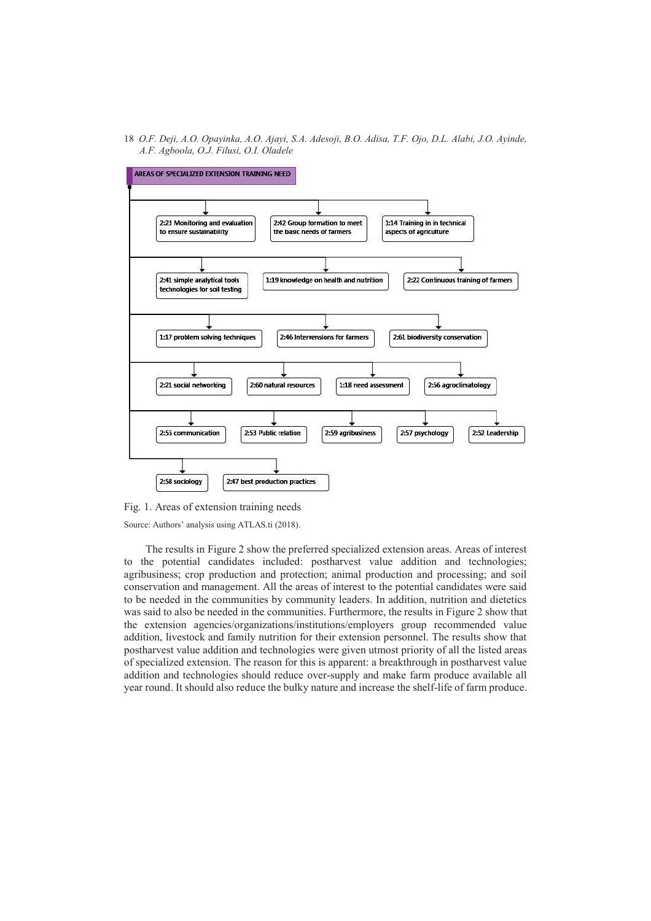

Fig. 1. Areas of extension training needs

Source: Authors' analysis using ATLAS.ti (2018).

The results in Figure 2 show the preferred specialized extension areas. Areas of interest to the potential candidates included: postharvest value addition and technologies; agribusiness; crop production and protection; animal production and processing; and soil conservation and management. All the areas of interest to the potential candidates were said to be needed in the communities by community leaders. In addition, nutrition and dietetics was said to also be needed in the communities. Furthermore, the results in Figure 2 show that the extension agencies/organizations/institutions/employers group recommended value addition, livestock and family nutrition for their extension personnel. The results show that postharvest value addition and technologies were given utmost priority of all the listed areas of specialized extension. The reason for this is apparent: a breakthrough in postharvest value addition and technologies should reduce over-supply and make farm produce available all year round. It should also reduce the bulky nature and increase the shelf-life of farm produce.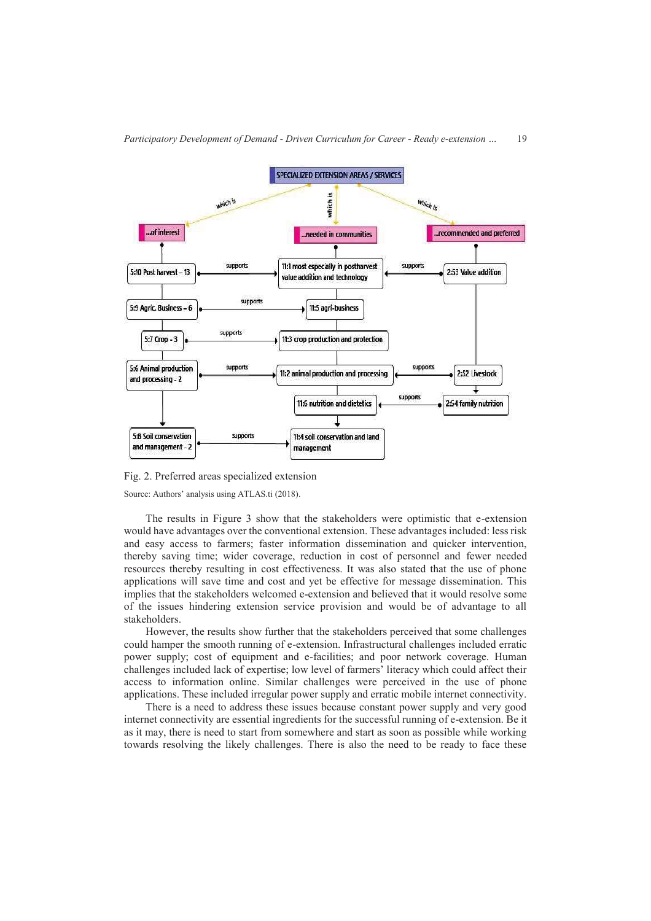

Fig. 2. Preferred areas specialized extension

Source: Authors' analysis using ATLAS.ti (2018).

and management - 2

The results in Figure 3 show that the stakeholders were optimistic that e-extension would have advantages over the conventional extension. These advantages included: less risk and easy access to farmers; faster information dissemination and quicker intervention, thereby saving time; wider coverage, reduction in cost of personnel and fewer needed resources thereby resulting in cost effectiveness. It was also stated that the use of phone applications will save time and cost and yet be effective for message dissemination. This implies that the stakeholders welcomed e-extension and believed that it would resolve some of the issues hindering extension service provision and would be of advantage to all stakeholders.

management

However, the results show further that the stakeholders perceived that some challenges could hamper the smooth running of e-extension. Infrastructural challenges included erratic power supply; cost of equipment and e-facilities; and poor network coverage. Human challenges included lack of expertise; low level of farmers' literacy which could affect their access to information online. Similar challenges were perceived in the use of phone applications. These included irregular power supply and erratic mobile internet connectivity.

There is a need to address these issues because constant power supply and very good internet connectivity are essential ingredients for the successful running of e-extension. Be it as it may, there is need to start from somewhere and start as soon as possible while working towards resolving the likely challenges. There is also the need to be ready to face these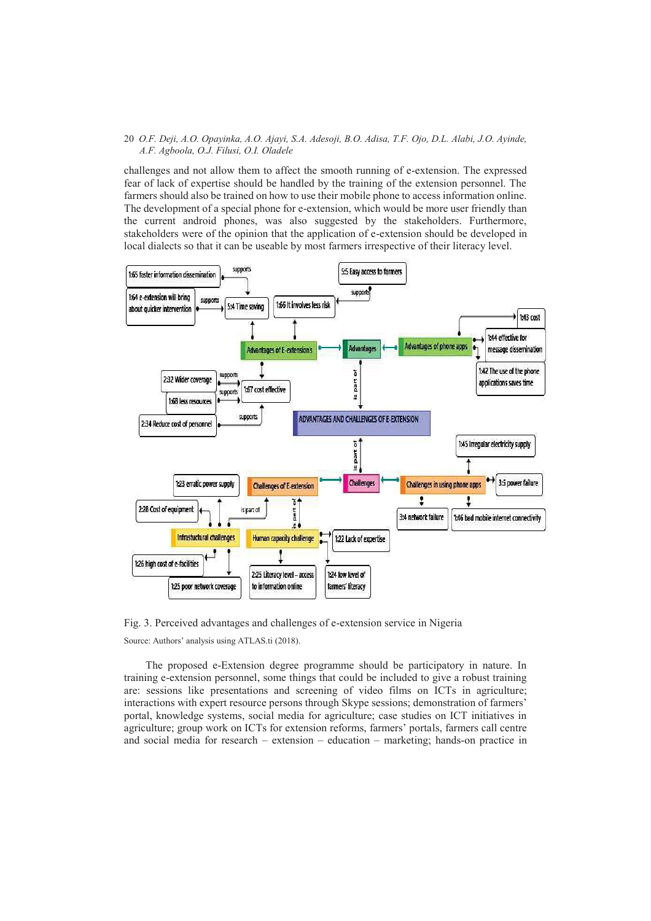challenges and not allow them to affect the smooth running of e-extension. The expressed fear of lack of expertise should be handled by the training of the extension personnel. The farmers should also be trained on how to use their mobile phone to access information online. The development of a special phone for e-extension, which would be more user friendly than the current android phones, was also suggested by the stakeholders. Furthermore, stakeholders were of the opinion that the application of e-extension should be developed in local dialects so that it can be useable by most farmers irrespective of their literacy level.



Fig. 3. Perceived advantages and challenges of e-extension service in Nigeria Source: Authors' analysis using ATLAS.ti (2018).

The proposed e-Extension degree programme should be participatory in nature. In training e-extension personnel, some things that could be included to give a robust training are: sessions like presentations and screening of video films on ICTs in agriculture; interactions with expert resource persons through Skype sessions; demonstration of farmers' portal, knowledge systems, social media for agriculture; case studies on ICT initiatives in agriculture; group work on ICTs for extension reforms, farmers' portals, farmers call centre and social media for research – extension – education – marketing; hands-on practice in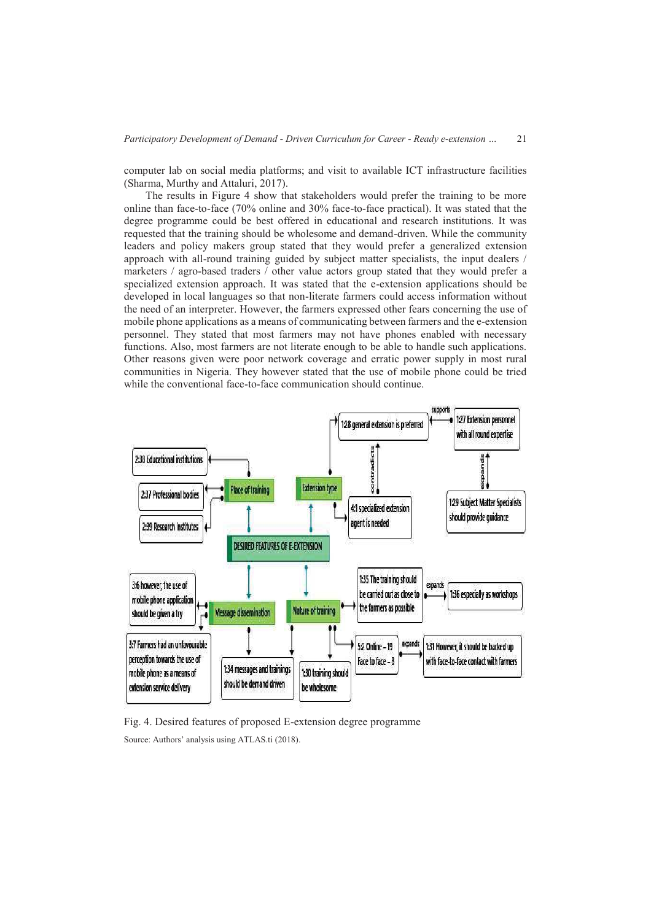computer lab on social media platforms; and visit to available ICT infrastructure facilities (Sharma, Murthy and Attaluri, 2017).

The results in Figure 4 show that stakeholders would prefer the training to be more online than face-to-face (70% online and 30% face-to-face practical). It was stated that the degree programme could be best offered in educational and research institutions. It was requested that the training should be wholesome and demand-driven. While the community leaders and policy makers group stated that they would prefer a generalized extension approach with all-round training guided by subject matter specialists, the input dealers / marketers / agro-based traders / other value actors group stated that they would prefer a specialized extension approach. It was stated that the e-extension applications should be developed in local languages so that non-literate farmers could access information without the need of an interpreter. However, the farmers expressed other fears concerning the use of mobile phone applications as a means of communicating between farmers and the e-extension personnel. They stated that most farmers may not have phones enabled with necessary functions. Also, most farmers are not literate enough to be able to handle such applications. Other reasons given were poor network coverage and erratic power supply in most rural communities in Nigeria. They however stated that the use of mobile phone could be tried while the conventional face-to-face communication should continue.



Fig. 4. Desired features of proposed E-extension degree programme Source: Authors' analysis using ATLAS.ti (2018).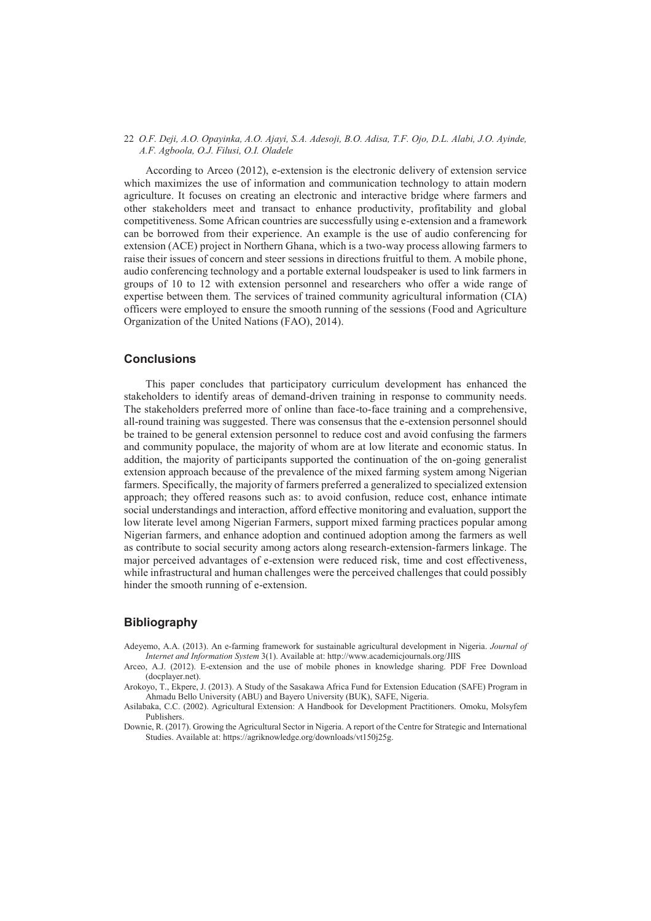According to Arceo (2012), e-extension is the electronic delivery of extension service which maximizes the use of information and communication technology to attain modern agriculture. It focuses on creating an electronic and interactive bridge where farmers and other stakeholders meet and transact to enhance productivity, profitability and global competitiveness. Some African countries are successfully using e-extension and a framework can be borrowed from their experience. An example is the use of audio conferencing for extension (ACE) project in Northern Ghana, which is a two-way process allowing farmers to raise their issues of concern and steer sessions in directions fruitful to them. A mobile phone, audio conferencing technology and a portable external loudspeaker is used to link farmers in groups of 10 to 12 with extension personnel and researchers who offer a wide range of expertise between them. The services of trained community agricultural information (CIA) officers were employed to ensure the smooth running of the sessions (Food and Agriculture Organization of the United Nations (FAO), 2014).

## **Conclusions**

This paper concludes that participatory curriculum development has enhanced the stakeholders to identify areas of demand-driven training in response to community needs. The stakeholders preferred more of online than face-to-face training and a comprehensive, all-round training was suggested. There was consensus that the e-extension personnel should be trained to be general extension personnel to reduce cost and avoid confusing the farmers and community populace, the majority of whom are at low literate and economic status. In addition, the majority of participants supported the continuation of the on-going generalist extension approach because of the prevalence of the mixed farming system among Nigerian farmers. Specifically, the majority of farmers preferred a generalized to specialized extension approach; they offered reasons such as: to avoid confusion, reduce cost, enhance intimate social understandings and interaction, afford effective monitoring and evaluation, support the low literate level among Nigerian Farmers, support mixed farming practices popular among Nigerian farmers, and enhance adoption and continued adoption among the farmers as well as contribute to social security among actors along research-extension-farmers linkage. The major perceived advantages of e-extension were reduced risk, time and cost effectiveness, while infrastructural and human challenges were the perceived challenges that could possibly hinder the smooth running of e-extension.

# **Bibliography**

- Adeyemo, A.A. (2013). An e-farming framework for sustainable agricultural development in Nigeria. *Journal of Internet and Information System* 3(1). Available at: http://www.academicjournals.org/JIIS
- Arceo, A.J. (2012). E-extension and the use of mobile phones in knowledge sharing. PDF Free Download (docplayer.net).
- Arokoyo, T., Ekpere, J. (2013). A Study of the Sasakawa Africa Fund for Extension Education (SAFE) Program in Ahmadu Bello University (ABU) and Bayero University (BUK), SAFE, Nigeria.
- Asilabaka, C.C. (2002). Agricultural Extension: A Handbook for Development Practitioners. Omoku, Molsyfem Publishers.
- Downie, R. (2017). Growing the Agricultural Sector in Nigeria. A report of the Centre for Strategic and International Studies. Available at: https://agriknowledge.org/downloads/vt150j25g.